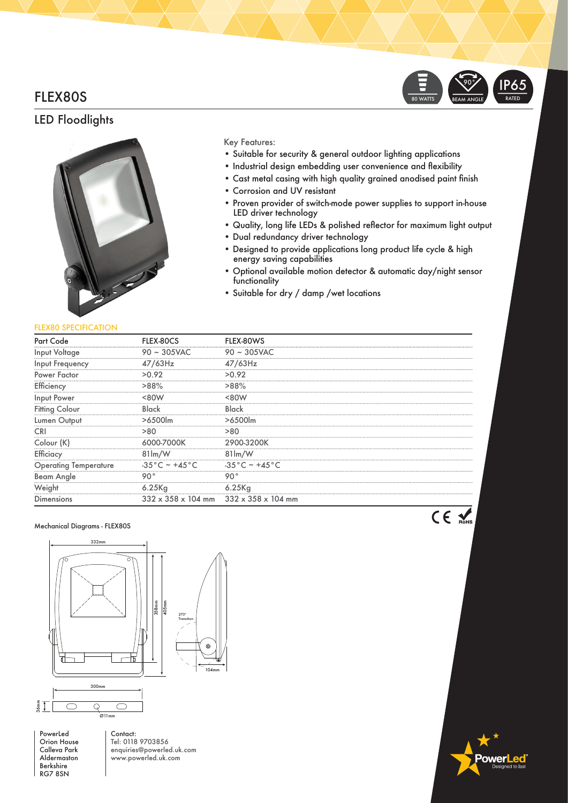# FLEX80S

# LED Floodlights



### Key Features:

- Suitable for security & general outdoor lighting applications
- Industrial design embedding user convenience and flexibility
- Cast metal casing with high quality grained anodised paint finish
- Corrosion and UV resistant
- Proven provider of switch-mode power supplies to support in-house LED driver technology

80 WATTS

BEAM ANGLE 90°

- Quality, long life LEDs & polished reflector for maximum light output
- Dual redundancy driver technology
- Designed to provide applications long product life cycle & high energy saving capabilities
- Optional available motion detector & automatic day/night sensor functionality
- Suitable for dry / damp /wet locations

### FLEX80 SPECIFICATION

| Part                         |                            |                                                               |
|------------------------------|----------------------------|---------------------------------------------------------------|
| <br>Input Voltage            | $90 \sim 305$ VAC          | $90 \sim 305$ VAC                                             |
| Input Frequency              |                            | 47/63Hz                                                       |
| Power Factor                 |                            |                                                               |
| Efficiency                   | >88%                       | >88%                                                          |
| Input Power                  |                            |                                                               |
| <b>Fitting Colour</b>        |                            | Black                                                         |
| Lumen Output                 |                            | $>6.500$ lm                                                   |
|                              |                            |                                                               |
| Colour (K)                   |                            |                                                               |
| Efficiacy                    | $81 \, \text{Im}/\text{W}$ | $81 \, \mathrm{Im}/\mathrm{W}$                                |
| <b>Operating Temperature</b> | $-35^{\circ}$ C ~ +45 °C   | $-35^{\circ}$ C ~ +45 $^{\circ}$ C                            |
| <b>Beam Angle</b>            |                            |                                                               |
|                              | 6.25Kg                     | 6.25Kg                                                        |
| <b>Dimensions</b>            |                            | $332 \times 358 \times 104$ mm $332 \times 358 \times 104$ mm |

#### Mechanical Diagrams - FLEX80S



PowerLed Orion House Calleva Park Aldermaston Berkshire RG7 8SN

Contact: Tel: 0118 9703856 enquiries@powerled.uk.com www.powerled.uk.com

**RoHS**

ower<mark>l</mark>

**RATED** IP65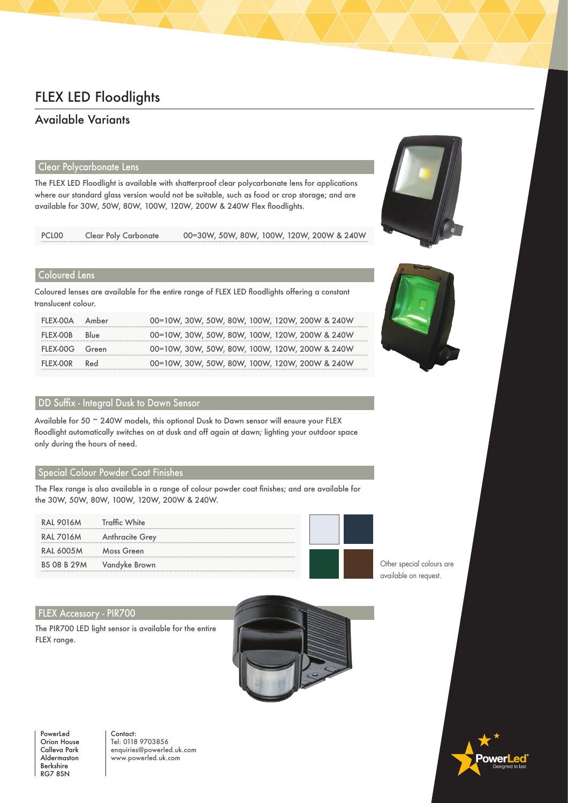# FLEX LED Floodlights

# Available Variants

# Clear Polycarbonate Lens

The FLEX LED Floodlight is available with shatterproof clear polycarbonate lens for applications where our standard glass version would not be suitable, such as food or crop storage; and are available for 30W, 50W, 80W, 100W, 120W, 200W & 240W Flex floodlights.

| PCLO <sub>0</sub> | <b>Clear Poly Carbonate</b> | 00=30W, 50W, 80W, 100W, 120W, 200W & 240W |
|-------------------|-----------------------------|-------------------------------------------|
|                   |                             |                                           |

## Coloured Lens

Coloured lenses are available for the entire range of FLEX LED floodlights offering a constant translucent colour.

| FLEX-00A       | Amber | 00=10W, 30W, 50W, 80W, 100W, 120W, 200W & 240W |
|----------------|-------|------------------------------------------------|
| FLEX-OOB       | Blue  | 00=10W, 30W, 50W, 80W, 100W, 120W, 200W & 240W |
| FLEX-00G Green |       | 00=10W, 30W, 50W, 80W, 100W, 120W, 200W & 240W |
| FLEX-OOR       | Red   | 00=10W, 30W, 50W, 80W, 100W, 120W, 200W & 240W |

# DD Suffix - Integral Dusk to Dawn Sensor

Available for 50 ~ 240W models, this optional Dusk to Dawn sensor will ensure your FLEX floodlight automatically switches on at dusk and off again at dawn; lighting your outdoor space only during the hours of need.

### Special Colour Powder Coat Finishes

The Flex range is also available in a range of colour powder coat finishes; and are available for the 30W, 50W, 80W, 100W, 120W, 200W & 240W.

| <b>RAL 9016M</b>   | <b>Traffic White</b>   |  |  |
|--------------------|------------------------|--|--|
| <b>RAL 7016M</b>   | <b>Anthracite Grey</b> |  |  |
| <b>RAL 6005M</b>   | Moss Green             |  |  |
| <b>BS 08 B 29M</b> | Vandyke Brown          |  |  |
|                    |                        |  |  |

### FLEX Accessory - PIR700

The PIR700 LED light sensor is available for the entire FLEX range.





Contact: Tel: 0118 9703856 enquiries@powerled.uk.com www.powerled.uk.com